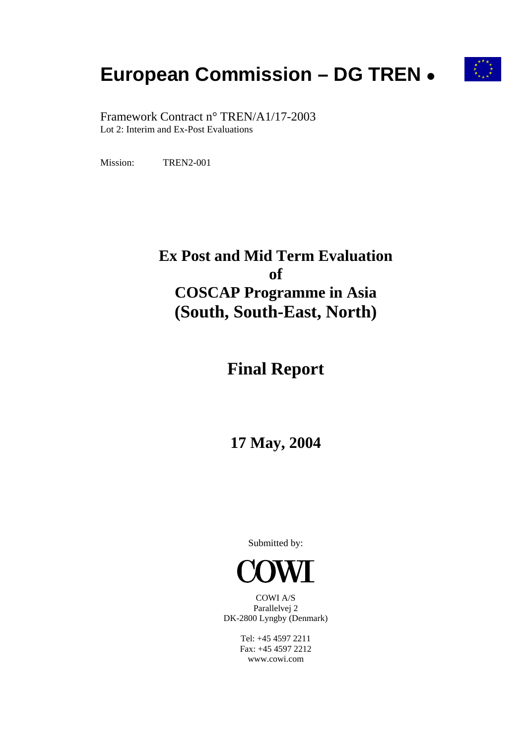# **European Commission – DG TREN** ●



 Framework Contract n° TREN/A1/17-2003 Lot 2: Interim and Ex-Post Evaluations

Mission: TREN2-001

# **Ex Post and Mid Term Evaluation of COSCAP Programme in Asia (South, South-East, North)**

# **Final Report**

# **17 May, 2004**

Submitted by:



COWI A/S Parallelvej 2 DK-2800 Lyngby (Denmark)

> Tel: +45 4597 2211 Fax: +45 4597 2212 www.cowi.com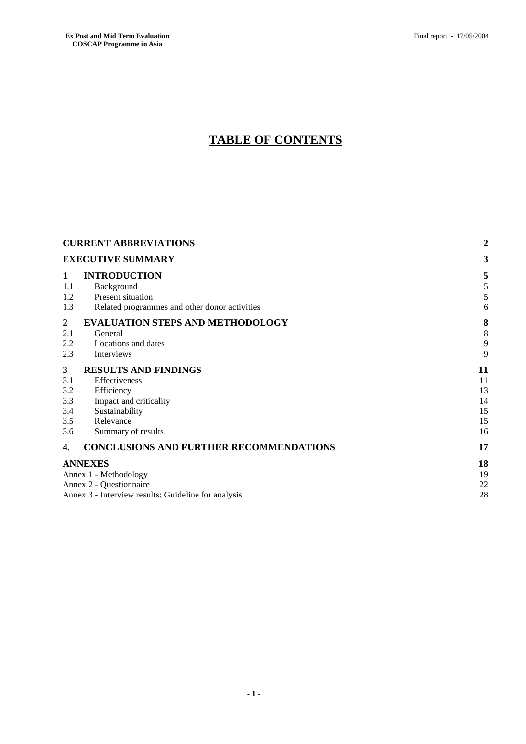# **TABLE OF CONTENTS**

|                                                                                                                                                   | <b>CURRENT ABBREVIATIONS</b>                                                                                                              |                                        |  |
|---------------------------------------------------------------------------------------------------------------------------------------------------|-------------------------------------------------------------------------------------------------------------------------------------------|----------------------------------------|--|
|                                                                                                                                                   | <b>EXECUTIVE SUMMARY</b>                                                                                                                  |                                        |  |
| 1<br>1.1<br>1.2<br>1.3                                                                                                                            | <b>INTRODUCTION</b><br>Background<br>Present situation<br>Related programmes and other donor activities                                   | 5<br>5<br>5<br>6                       |  |
| 2<br>2.1<br>2.2<br>2.3                                                                                                                            | <b>EVALUATION STEPS AND METHODOLOGY</b><br>General<br>Locations and dates<br>Interviews                                                   | 8<br>8<br>9<br>9                       |  |
| $\mathbf{3}$<br>3.1<br>3.2<br>3.3<br>3.4<br>3.5<br>3.6                                                                                            | <b>RESULTS AND FINDINGS</b><br>Effectiveness<br>Efficiency<br>Impact and criticality<br>Sustainability<br>Relevance<br>Summary of results | 11<br>11<br>13<br>14<br>15<br>15<br>16 |  |
| 4.                                                                                                                                                | <b>CONCLUSIONS AND FURTHER RECOMMENDATIONS</b>                                                                                            | 17                                     |  |
| <b>ANNEXES</b><br>18<br>Annex 1 - Methodology<br>19<br>Annex 2 - Questionnaire<br>22<br>28<br>Annex 3 - Interview results: Guideline for analysis |                                                                                                                                           |                                        |  |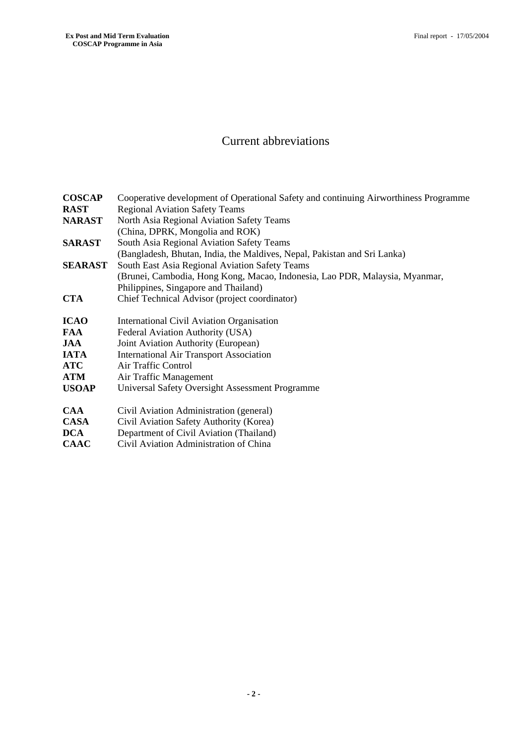## Current abbreviations

| <b>COSCAP</b>  | Cooperative development of Operational Safety and continuing Airworthiness Programme |
|----------------|--------------------------------------------------------------------------------------|
| <b>RAST</b>    | <b>Regional Aviation Safety Teams</b>                                                |
| <b>NARAST</b>  | North Asia Regional Aviation Safety Teams                                            |
|                | (China, DPRK, Mongolia and ROK)                                                      |
| <b>SARAST</b>  | South Asia Regional Aviation Safety Teams                                            |
|                | (Bangladesh, Bhutan, India, the Maldives, Nepal, Pakistan and Sri Lanka)             |
| <b>SEARAST</b> | South East Asia Regional Aviation Safety Teams                                       |
|                | (Brunei, Cambodia, Hong Kong, Macao, Indonesia, Lao PDR, Malaysia, Myanmar,          |
|                | Philippines, Singapore and Thailand)                                                 |
| <b>CTA</b>     | Chief Technical Advisor (project coordinator)                                        |
|                |                                                                                      |
| <b>ICAO</b>    | International Civil Aviation Organisation                                            |
| <b>FAA</b>     | Federal Aviation Authority (USA)                                                     |
| <b>JAA</b>     | Joint Aviation Authority (European)                                                  |
| <b>IATA</b>    | <b>International Air Transport Association</b>                                       |
| <b>ATC</b>     | Air Traffic Control                                                                  |
| <b>ATM</b>     | Air Traffic Management                                                               |
| <b>USOAP</b>   | Universal Safety Oversight Assessment Programme                                      |
|                |                                                                                      |
| <b>CAA</b>     | Civil Aviation Administration (general)                                              |
| <b>CASA</b>    | Civil Aviation Safety Authority (Korea)                                              |
| <b>DCA</b>     | Department of Civil Aviation (Thailand)                                              |
| <b>CAAC</b>    | Civil Aviation Administration of China                                               |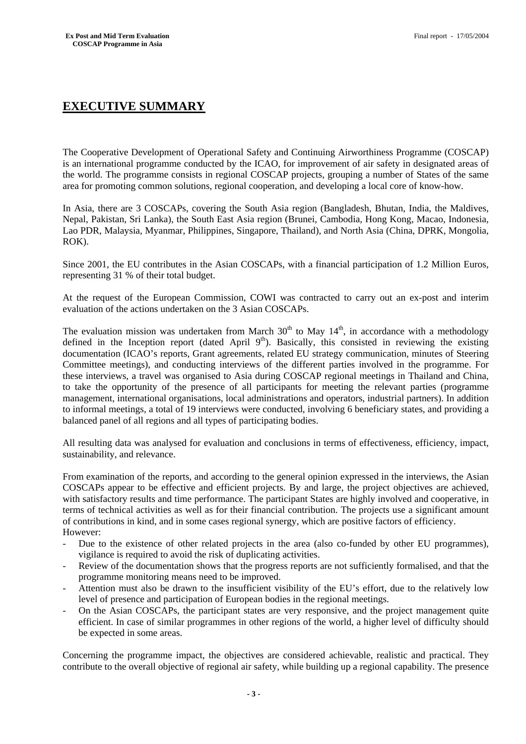## **EXECUTIVE SUMMARY**

The Cooperative Development of Operational Safety and Continuing Airworthiness Programme (COSCAP) is an international programme conducted by the ICAO, for improvement of air safety in designated areas of the world. The programme consists in regional COSCAP projects, grouping a number of States of the same area for promoting common solutions, regional cooperation, and developing a local core of know-how.

In Asia, there are 3 COSCAPs, covering the South Asia region (Bangladesh, Bhutan, India, the Maldives, Nepal, Pakistan, Sri Lanka), the South East Asia region (Brunei, Cambodia, Hong Kong, Macao, Indonesia, Lao PDR, Malaysia, Myanmar, Philippines, Singapore, Thailand), and North Asia (China, DPRK, Mongolia, ROK).

Since 2001, the EU contributes in the Asian COSCAPs, with a financial participation of 1.2 Million Euros, representing 31 % of their total budget.

At the request of the European Commission, COWI was contracted to carry out an ex-post and interim evaluation of the actions undertaken on the 3 Asian COSCAPs.

The evaluation mission was undertaken from March  $30<sup>th</sup>$  to May  $14<sup>th</sup>$ , in accordance with a methodology defined in the Inception report (dated April 9<sup>th</sup>). Basically, this consisted in reviewing the existing documentation (ICAO's reports, Grant agreements, related EU strategy communication, minutes of Steering Committee meetings), and conducting interviews of the different parties involved in the programme. For these interviews, a travel was organised to Asia during COSCAP regional meetings in Thailand and China, to take the opportunity of the presence of all participants for meeting the relevant parties (programme management, international organisations, local administrations and operators, industrial partners). In addition to informal meetings, a total of 19 interviews were conducted, involving 6 beneficiary states, and providing a balanced panel of all regions and all types of participating bodies.

All resulting data was analysed for evaluation and conclusions in terms of effectiveness, efficiency, impact, sustainability, and relevance.

From examination of the reports, and according to the general opinion expressed in the interviews, the Asian COSCAPs appear to be effective and efficient projects. By and large, the project objectives are achieved, with satisfactory results and time performance. The participant States are highly involved and cooperative, in terms of technical activities as well as for their financial contribution. The projects use a significant amount of contributions in kind, and in some cases regional synergy, which are positive factors of efficiency. However:

- Due to the existence of other related projects in the area (also co-funded by other EU programmes), vigilance is required to avoid the risk of duplicating activities.
- Review of the documentation shows that the progress reports are not sufficiently formalised, and that the programme monitoring means need to be improved.
- Attention must also be drawn to the insufficient visibility of the EU's effort, due to the relatively low level of presence and participation of European bodies in the regional meetings.
- On the Asian COSCAPs, the participant states are very responsive, and the project management quite efficient. In case of similar programmes in other regions of the world, a higher level of difficulty should be expected in some areas.

Concerning the programme impact, the objectives are considered achievable, realistic and practical. They contribute to the overall objective of regional air safety, while building up a regional capability. The presence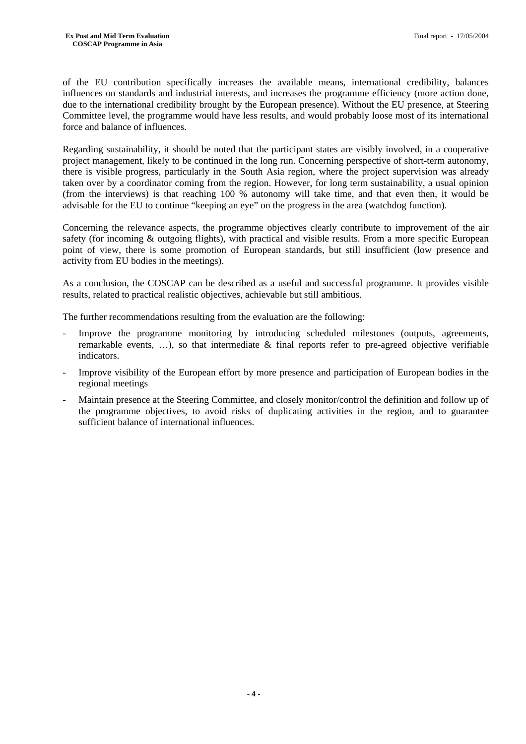of the EU contribution specifically increases the available means, international credibility, balances influences on standards and industrial interests, and increases the programme efficiency (more action done, due to the international credibility brought by the European presence). Without the EU presence, at Steering Committee level, the programme would have less results, and would probably loose most of its international force and balance of influences.

Regarding sustainability, it should be noted that the participant states are visibly involved, in a cooperative project management, likely to be continued in the long run. Concerning perspective of short-term autonomy, there is visible progress, particularly in the South Asia region, where the project supervision was already taken over by a coordinator coming from the region. However, for long term sustainability, a usual opinion (from the interviews) is that reaching 100 % autonomy will take time, and that even then, it would be advisable for the EU to continue "keeping an eye" on the progress in the area (watchdog function).

Concerning the relevance aspects, the programme objectives clearly contribute to improvement of the air safety (for incoming & outgoing flights), with practical and visible results. From a more specific European point of view, there is some promotion of European standards, but still insufficient (low presence and activity from EU bodies in the meetings).

As a conclusion, the COSCAP can be described as a useful and successful programme. It provides visible results, related to practical realistic objectives, achievable but still ambitious.

The further recommendations resulting from the evaluation are the following:

- Improve the programme monitoring by introducing scheduled milestones (outputs, agreements, remarkable events, …), so that intermediate & final reports refer to pre-agreed objective verifiable indicators.
- Improve visibility of the European effort by more presence and participation of European bodies in the regional meetings
- Maintain presence at the Steering Committee, and closely monitor/control the definition and follow up of the programme objectives, to avoid risks of duplicating activities in the region, and to guarantee sufficient balance of international influences.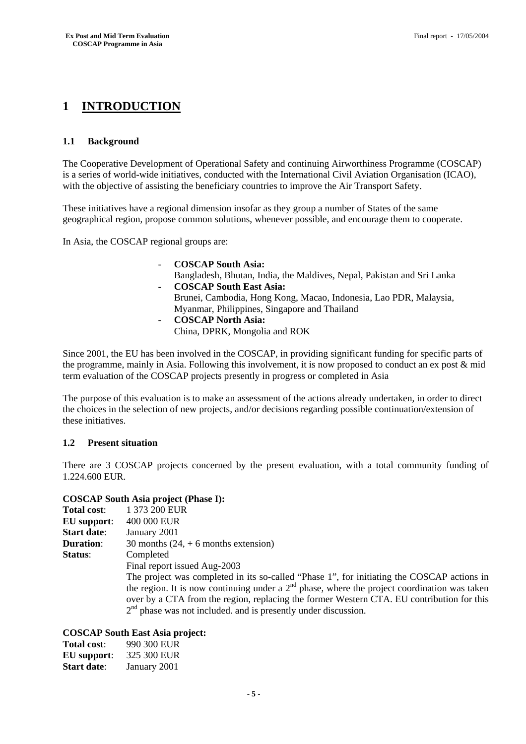## **1 INTRODUCTION**

#### **1.1 Background**

The Cooperative Development of Operational Safety and continuing Airworthiness Programme (COSCAP) is a series of world-wide initiatives, conducted with the International Civil Aviation Organisation (ICAO), with the objective of assisting the beneficiary countries to improve the Air Transport Safety.

These initiatives have a regional dimension insofar as they group a number of States of the same geographical region, propose common solutions, whenever possible, and encourage them to cooperate.

In Asia, the COSCAP regional groups are:

- **COSCAP South Asia:**  Bangladesh, Bhutan, India, the Maldives, Nepal, Pakistan and Sri Lanka - **COSCAP South East Asia:**  Brunei, Cambodia, Hong Kong, Macao, Indonesia, Lao PDR, Malaysia, Myanmar, Philippines, Singapore and Thailand - **COSCAP North Asia:** 
	- China, DPRK, Mongolia and ROK

Since 2001, the EU has been involved in the COSCAP, in providing significant funding for specific parts of the programme, mainly in Asia. Following this involvement, it is now proposed to conduct an ex post & mid term evaluation of the COSCAP projects presently in progress or completed in Asia

The purpose of this evaluation is to make an assessment of the actions already undertaken, in order to direct the choices in the selection of new projects, and/or decisions regarding possible continuation/extension of these initiatives.

#### **1.2 Present situation**

There are 3 COSCAP projects concerned by the present evaluation, with a total community funding of 1.224.600 EUR.

#### **COSCAP South Asia project (Phase I):**

| <b>Total cost:</b> | 1 373 200 EUR                                                                                  |
|--------------------|------------------------------------------------------------------------------------------------|
| <b>EU</b> support: | 400 000 EUR                                                                                    |
| <b>Start date:</b> | January 2001                                                                                   |
| <b>Duration:</b>   | 30 months $(24, +6$ months extension)                                                          |
| Status:            | Completed                                                                                      |
|                    | Final report issued Aug-2003                                                                   |
|                    | The project was completed in its so-called "Phase 1", for initiating the COSCAP actions in     |
|                    | the region. It is now continuing under a $2nd$ phase, where the project coordination was taken |
|                    | over by a CTA from the region, replacing the former Western CTA. EU contribution for this      |
|                    | $2nd$ phase was not included. and is presently under discussion.                               |

#### **COSCAP South East Asia project:**

| Total cost:        | 990 300 EUR  |
|--------------------|--------------|
| EU support:        | 325 300 EUR  |
| <b>Start date:</b> | January 2001 |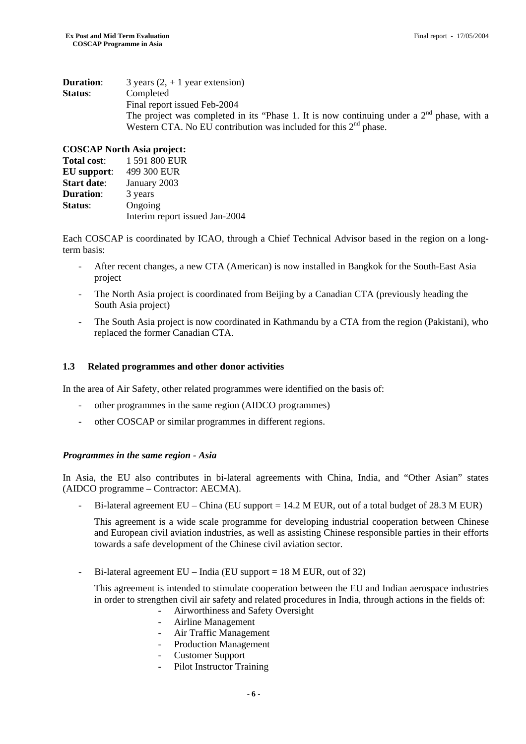| <b>Duration:</b> | 3 years $(2, +1)$ year extension)                                                           |
|------------------|---------------------------------------------------------------------------------------------|
| Status:          | Completed                                                                                   |
|                  | Final report issued Feb-2004                                                                |
|                  | The project was completed in its "Phase 1. It is now continuing under a $2nd$ phase, with a |
|                  | Western CTA. No EU contribution was included for this $2nd$ phase.                          |

#### **COSCAP North Asia project:**

| 1 591 800 EUR                  |
|--------------------------------|
| 499 300 EUR                    |
| January 2003                   |
| 3 years                        |
| Ongoing                        |
| Interim report issued Jan-2004 |
|                                |

Each COSCAP is coordinated by ICAO, through a Chief Technical Advisor based in the region on a longterm basis:

- After recent changes, a new CTA (American) is now installed in Bangkok for the South-East Asia project
- The North Asia project is coordinated from Beijing by a Canadian CTA (previously heading the South Asia project)
- The South Asia project is now coordinated in Kathmandu by a CTA from the region (Pakistani), who replaced the former Canadian CTA.

#### **1.3 Related programmes and other donor activities**

In the area of Air Safety, other related programmes were identified on the basis of:

- other programmes in the same region (AIDCO programmes)
- other COSCAP or similar programmes in different regions.

#### *Programmes in the same region - Asia*

In Asia, the EU also contributes in bi-lateral agreements with China, India, and "Other Asian" states (AIDCO programme – Contractor: AECMA).

Bi-lateral agreement EU – China (EU support = 14.2 M EUR, out of a total budget of 28.3 M EUR)

This agreement is a wide scale programme for developing industrial cooperation between Chinese and European civil aviation industries, as well as assisting Chinese responsible parties in their efforts towards a safe development of the Chinese civil aviation sector.

- Bi-lateral agreement  $EU$  – India (EU support = 18 M EUR, out of 32)

This agreement is intended to stimulate cooperation between the EU and Indian aerospace industries in order to strengthen civil air safety and related procedures in India, through actions in the fields of:

- Airworthiness and Safety Oversight
- Airline Management
- Air Traffic Management
- Production Management
- Customer Support
- Pilot Instructor Training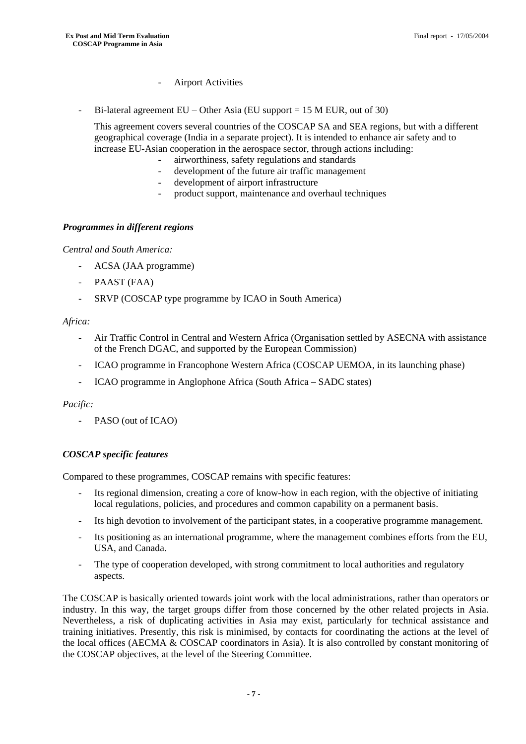- Airport Activities
- Bi-lateral agreement EU Other Asia (EU support = 15 M EUR, out of 30)

This agreement covers several countries of the COSCAP SA and SEA regions, but with a different geographical coverage (India in a separate project). It is intended to enhance air safety and to increase EU-Asian cooperation in the aerospace sector, through actions including:

- airworthiness, safety regulations and standards
- development of the future air traffic management
- development of airport infrastructure
- product support, maintenance and overhaul techniques

#### *Programmes in different regions*

*Central and South America:* 

- ACSA (JAA programme)
- PAAST (FAA)
- SRVP (COSCAP type programme by ICAO in South America)

#### *Africa:*

- Air Traffic Control in Central and Western Africa (Organisation settled by ASECNA with assistance of the French DGAC, and supported by the European Commission)
- ICAO programme in Francophone Western Africa (COSCAP UEMOA, in its launching phase)
- ICAO programme in Anglophone Africa (South Africa SADC states)

#### *Pacific:*

- PASO (out of ICAO)

#### *COSCAP specific features*

Compared to these programmes, COSCAP remains with specific features:

- Its regional dimension, creating a core of know-how in each region, with the objective of initiating local regulations, policies, and procedures and common capability on a permanent basis.
- Its high devotion to involvement of the participant states, in a cooperative programme management.
- Its positioning as an international programme, where the management combines efforts from the EU, USA, and Canada.
- The type of cooperation developed, with strong commitment to local authorities and regulatory aspects.

The COSCAP is basically oriented towards joint work with the local administrations, rather than operators or industry. In this way, the target groups differ from those concerned by the other related projects in Asia. Nevertheless, a risk of duplicating activities in Asia may exist, particularly for technical assistance and training initiatives. Presently, this risk is minimised, by contacts for coordinating the actions at the level of the local offices (AECMA & COSCAP coordinators in Asia). It is also controlled by constant monitoring of the COSCAP objectives, at the level of the Steering Committee.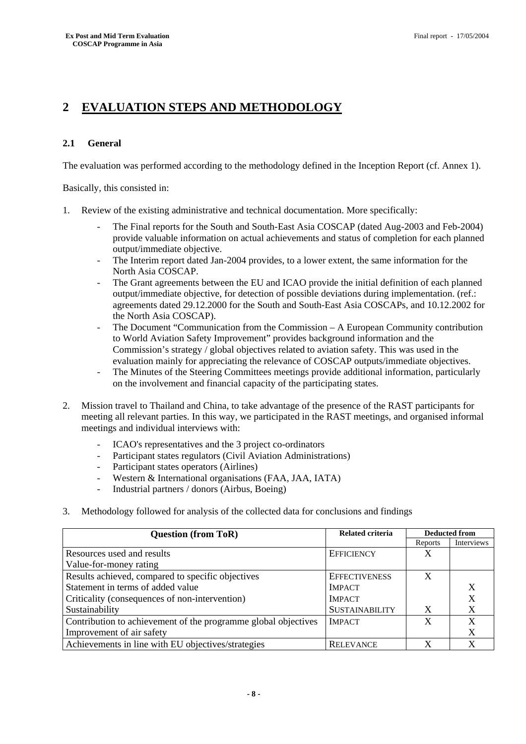# **2 EVALUATION STEPS AND METHODOLOGY**

#### **2.1 General**

The evaluation was performed according to the methodology defined in the Inception Report (cf. Annex 1).

Basically, this consisted in:

- 1. Review of the existing administrative and technical documentation. More specifically:
	- The Final reports for the South and South-East Asia COSCAP (dated Aug-2003 and Feb-2004) provide valuable information on actual achievements and status of completion for each planned output/immediate objective.
	- The Interim report dated Jan-2004 provides, to a lower extent, the same information for the North Asia COSCAP.
	- The Grant agreements between the EU and ICAO provide the initial definition of each planned output/immediate objective, for detection of possible deviations during implementation. (ref.: agreements dated 29.12.2000 for the South and South-East Asia COSCAPs, and 10.12.2002 for the North Asia COSCAP).
	- The Document "Communication from the Commission A European Community contribution to World Aviation Safety Improvement" provides background information and the Commission's strategy / global objectives related to aviation safety. This was used in the evaluation mainly for appreciating the relevance of COSCAP outputs/immediate objectives.
	- The Minutes of the Steering Committees meetings provide additional information, particularly on the involvement and financial capacity of the participating states.
- 2. Mission travel to Thailand and China, to take advantage of the presence of the RAST participants for meeting all relevant parties. In this way, we participated in the RAST meetings, and organised informal meetings and individual interviews with:
	- ICAO's representatives and the 3 project co-ordinators
	- Participant states regulators (Civil Aviation Administrations)
	- Participant states operators (Airlines)
	- Western & International organisations (FAA, JAA, IATA)
	- Industrial partners / donors (Airbus, Boeing)
- 3. Methodology followed for analysis of the collected data for conclusions and findings

| <b>Question (from ToR)</b>                                     | <b>Related criteria</b> | <b>Deducted from</b> |            |
|----------------------------------------------------------------|-------------------------|----------------------|------------|
|                                                                |                         | Reports              | Interviews |
| Resources used and results                                     | <b>EFFICIENCY</b>       | X                    |            |
| Value-for-money rating                                         |                         |                      |            |
| Results achieved, compared to specific objectives              | <b>EFFECTIVENESS</b>    | X                    |            |
| Statement in terms of added value                              | <b>IMPACT</b>           |                      |            |
| Criticality (consequences of non-intervention)                 | <b>IMPACT</b>           |                      |            |
| Sustainability                                                 | <b>SUSTAINABILITY</b>   | X                    |            |
| Contribution to achievement of the programme global objectives | <b>IMPACT</b>           | X                    | X          |
| Improvement of air safety                                      |                         |                      |            |
| Achievements in line with EU objectives/strategies             | <b>RELEVANCE</b>        | X                    |            |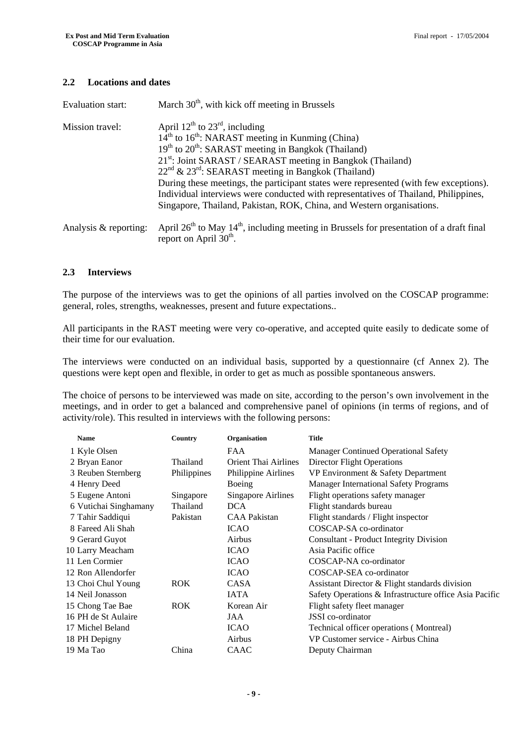#### **2.2 Locations and dates**

| Evaluation start:     | March $30th$ , with kick off meeting in Brussels                                                                                                                                                                                                                                                                                                                                                                                                                                                                                                                                     |
|-----------------------|--------------------------------------------------------------------------------------------------------------------------------------------------------------------------------------------------------------------------------------------------------------------------------------------------------------------------------------------------------------------------------------------------------------------------------------------------------------------------------------------------------------------------------------------------------------------------------------|
| Mission travel:       | April $12^{th}$ to $23^{rd}$ , including<br>$14^{\text{th}}$ to $16^{\text{th}}$ : NARAST meeting in Kunming (China)<br>$19th$ to $20th$ : SARAST meeting in Bangkok (Thailand)<br>21 <sup>st</sup> : Joint SARAST / SEARAST meeting in Bangkok (Thailand)<br>$22^{nd}$ & $23^{rd}$ : SEARAST meeting in Bangkok (Thailand)<br>During these meetings, the participant states were represented (with few exceptions).<br>Individual interviews were conducted with representatives of Thailand, Philippines,<br>Singapore, Thailand, Pakistan, ROK, China, and Western organisations. |
| Analysis & reporting: | April $26th$ to May $14th$ , including meeting in Brussels for presentation of a draft final<br>report on April 30 <sup>th</sup> .                                                                                                                                                                                                                                                                                                                                                                                                                                                   |

#### **2.3 Interviews**

The purpose of the interviews was to get the opinions of all parties involved on the COSCAP programme: general, roles, strengths, weaknesses, present and future expectations..

All participants in the RAST meeting were very co-operative, and accepted quite easily to dedicate some of their time for our evaluation.

The interviews were conducted on an individual basis, supported by a questionnaire (cf Annex 2). The questions were kept open and flexible, in order to get as much as possible spontaneous answers.

The choice of persons to be interviewed was made on site, according to the person's own involvement in the meetings, and in order to get a balanced and comprehensive panel of opinions (in terms of regions, and of activity/role). This resulted in interviews with the following persons:

| <b>Name</b>           | Country     | Organisation                | <b>Title</b>                                           |
|-----------------------|-------------|-----------------------------|--------------------------------------------------------|
| 1 Kyle Olsen          |             | <b>FAA</b>                  | <b>Manager Continued Operational Safety</b>            |
| 2 Bryan Eanor         | Thailand    | <b>Orient Thai Airlines</b> | <b>Director Flight Operations</b>                      |
| 3 Reuben Sternberg    | Philippines | Philippine Airlines         | VP Environment & Safety Department                     |
| 4 Henry Deed          |             | Boeing                      | <b>Manager International Safety Programs</b>           |
| 5 Eugene Antoni       | Singapore   | <b>Singapore Airlines</b>   | Flight operations safety manager                       |
| 6 Vutichai Singhamany | Thailand    | <b>DCA</b>                  | Flight standards bureau                                |
| 7 Tahir Saddiqui      | Pakistan    | <b>CAA Pakistan</b>         | Flight standards / Flight inspector                    |
| 8 Fareed Ali Shah     |             | <b>ICAO</b>                 | COSCAP-SA co-ordinator                                 |
| 9 Gerard Guyot        |             | Airbus                      | <b>Consultant - Product Integrity Division</b>         |
| 10 Larry Meacham      |             | <b>ICAO</b>                 | Asia Pacific office                                    |
| 11 Len Cormier        |             | <b>ICAO</b>                 | COSCAP-NA co-ordinator                                 |
| 12 Ron Allendorfer    |             | <b>ICAO</b>                 | COSCAP-SEA co-ordinator                                |
| 13 Choi Chul Young    | ROK         | CASA                        | Assistant Director & Flight standards division         |
| 14 Neil Jonasson      |             | <b>IATA</b>                 | Safety Operations & Infrastructure office Asia Pacific |
| 15 Chong Tae Bae      | <b>ROK</b>  | Korean Air                  | Flight safety fleet manager                            |
| 16 PH de St Aulaire   |             | JAA                         | <b>JSSI</b> co-ordinator                               |
| 17 Michel Beland      |             | <b>ICAO</b>                 | Technical officer operations (Montreal)                |
| 18 PH Depigny         |             | Airbus                      | VP Customer service - Airbus China                     |
| 19 Ma Tao             | China       | <b>CAAC</b>                 | Deputy Chairman                                        |
|                       |             |                             |                                                        |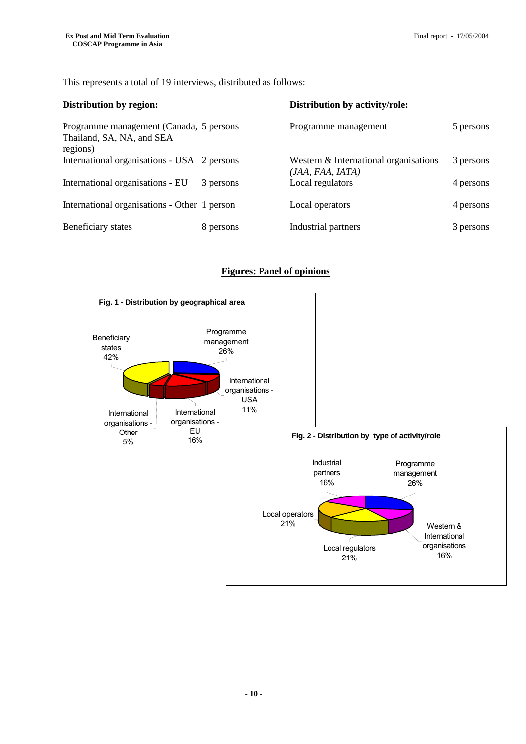This represents a total of 19 interviews, distributed as follows:

| Distribution by region:                                                           |           | Distribution by activity/role:                            |           |
|-----------------------------------------------------------------------------------|-----------|-----------------------------------------------------------|-----------|
| Programme management (Canada, 5 persons)<br>Thailand, SA, NA, and SEA<br>regions) |           | Programme management                                      | 5 persons |
| International organisations - USA 2 persons                                       |           | Western & International organisations<br>(JAA, FAA, IATA) | 3 persons |
| International organisations - EU                                                  | 3 persons | Local regulators                                          | 4 persons |
| International organisations - Other 1 person                                      |           | Local operators                                           | 4 persons |
| Beneficiary states                                                                | 8 persons | Industrial partners                                       | 3 persons |

#### **Figures: Panel of opinions**

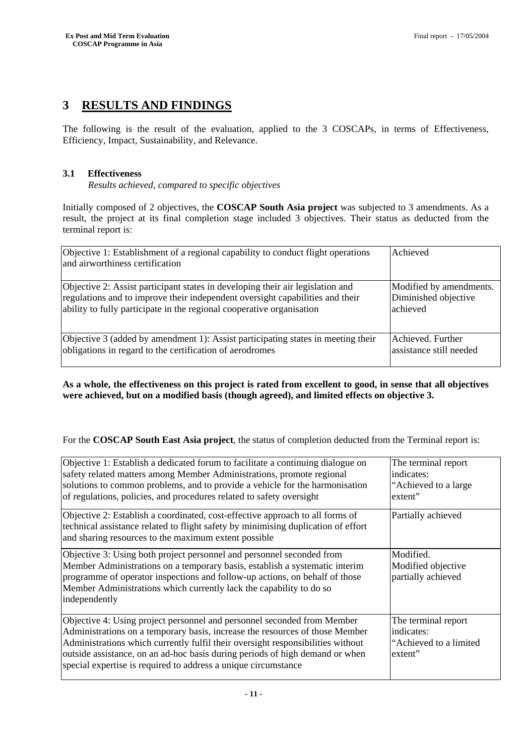## **3 RESULTS AND FINDINGS**

The following is the result of the evaluation, applied to the 3 COSCAPs, in terms of Effectiveness, Efficiency, Impact, Sustainability, and Relevance.

#### **3.1 Effectiveness**

*Results achieved, compared to specific objectives*

Initially composed of 2 objectives, the **COSCAP South Asia project** was subjected to 3 amendments. As a result, the project at its final completion stage included 3 objectives. Their status as deducted from the terminal report is:

| Objective 1: Establishment of a regional capability to conduct flight operations<br>and airworthiness certification | Achieved                |
|---------------------------------------------------------------------------------------------------------------------|-------------------------|
| Objective 2: Assist participant states in developing their air legislation and                                      | Modified by amendments. |
| regulations and to improve their independent oversight capabilities and their                                       | Diminished objective    |
| ability to fully participate in the regional cooperative organisation                                               | lachieved               |
| Objective 3 (added by amendment 1): Assist participating states in meeting their                                    | Achieved. Further       |
| obligations in regard to the certification of aerodromes                                                            | assistance still needed |

**As a whole, the effectiveness on this project is rated from excellent to good, in sense that all objectives were achieved, but on a modified basis (though agreed), and limited effects on objective 3.** 

For the **COSCAP South East Asia project**, the status of completion deducted from the Terminal report is:

| Objective 1: Establish a dedicated forum to facilitate a continuing dialogue on<br>safety related matters among Member Administrations, promote regional<br>solutions to common problems, and to provide a vehicle for the harmonisation<br>of regulations, policies, and procedures related to safety oversight                                                                             | The terminal report<br>indicates:<br>"Achieved to a large<br>extent"   |
|----------------------------------------------------------------------------------------------------------------------------------------------------------------------------------------------------------------------------------------------------------------------------------------------------------------------------------------------------------------------------------------------|------------------------------------------------------------------------|
| Objective 2: Establish a coordinated, cost-effective approach to all forms of<br>technical assistance related to flight safety by minimising duplication of effort<br>and sharing resources to the maximum extent possible                                                                                                                                                                   | Partially achieved                                                     |
| Objective 3: Using both project personnel and personnel seconded from<br>Member Administrations on a temporary basis, establish a systematic interim<br>programme of operator inspections and follow-up actions, on behalf of those<br>Member Administrations which currently lack the capability to do so<br>independently                                                                  | Modified.<br>Modified objective<br>partially achieved                  |
| Objective 4: Using project personnel and personnel seconded from Member<br>Administrations on a temporary basis, increase the resources of those Member<br>Administrations which currently fulfil their oversight responsibilities without<br>outside assistance, on an ad-hoc basis during periods of high demand or when<br>special expertise is required to address a unique circumstance | The terminal report<br>indicates:<br>"Achieved to a limited"<br>extent |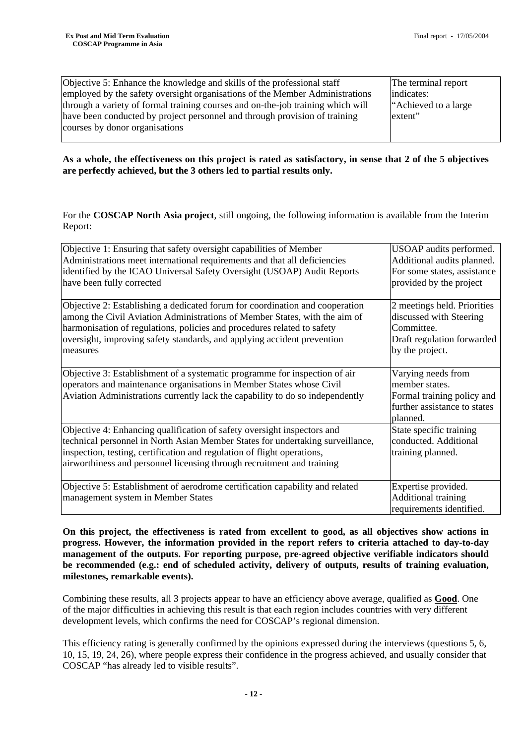| Objective 5: Enhance the knowledge and skills of the professional staff                                      | The terminal report   |  |  |
|--------------------------------------------------------------------------------------------------------------|-----------------------|--|--|
| employed by the safety oversight organisations of the Member Administrations                                 | indicates:            |  |  |
| through a variety of formal training courses and on-the-job training which will                              | "Achieved to a large" |  |  |
| have been conducted by project personnel and through provision of training<br>courses by donor organisations | extent"               |  |  |
|                                                                                                              |                       |  |  |

**As a whole, the effectiveness on this project is rated as satisfactory, in sense that 2 of the 5 objectives are perfectly achieved, but the 3 others led to partial results only.** 

For the **COSCAP North Asia project**, still ongoing, the following information is available from the Interim Report:

| Objective 1: Ensuring that safety oversight capabilities of Member             | USOAP audits performed.      |  |  |  |
|--------------------------------------------------------------------------------|------------------------------|--|--|--|
| Administrations meet international requirements and that all deficiencies      | Additional audits planned.   |  |  |  |
| identified by the ICAO Universal Safety Oversight (USOAP) Audit Reports        | For some states, assistance  |  |  |  |
| have been fully corrected                                                      | provided by the project      |  |  |  |
|                                                                                |                              |  |  |  |
| Objective 2: Establishing a dedicated forum for coordination and cooperation   | 2 meetings held. Priorities  |  |  |  |
| among the Civil Aviation Administrations of Member States, with the aim of     | discussed with Steering      |  |  |  |
| harmonisation of regulations, policies and procedures related to safety        | Committee.                   |  |  |  |
| oversight, improving safety standards, and applying accident prevention        | Draft regulation forwarded   |  |  |  |
| measures                                                                       | by the project.              |  |  |  |
|                                                                                |                              |  |  |  |
| Objective 3: Establishment of a systematic programme for inspection of air     | Varying needs from           |  |  |  |
| operators and maintenance organisations in Member States whose Civil           | member states.               |  |  |  |
| Aviation Administrations currently lack the capability to do so independently  | Formal training policy and   |  |  |  |
|                                                                                | further assistance to states |  |  |  |
|                                                                                | planned.                     |  |  |  |
| Objective 4: Enhancing qualification of safety oversight inspectors and        | State specific training      |  |  |  |
| technical personnel in North Asian Member States for undertaking surveillance, | conducted. Additional        |  |  |  |
| inspection, testing, certification and regulation of flight operations,        | training planned.            |  |  |  |
| airworthiness and personnel licensing through recruitment and training         |                              |  |  |  |
|                                                                                |                              |  |  |  |
| Objective 5: Establishment of aerodrome certification capability and related   | Expertise provided.          |  |  |  |
| management system in Member States                                             | Additional training          |  |  |  |
|                                                                                | requirements identified.     |  |  |  |

**On this project, the effectiveness is rated from excellent to good, as all objectives show actions in progress. However, the information provided in the report refers to criteria attached to day-to-day management of the outputs. For reporting purpose, pre-agreed objective verifiable indicators should be recommended (e.g.: end of scheduled activity, delivery of outputs, results of training evaluation, milestones, remarkable events).** 

Combining these results, all 3 projects appear to have an efficiency above average, qualified as **Good**. One of the major difficulties in achieving this result is that each region includes countries with very different development levels, which confirms the need for COSCAP's regional dimension.

This efficiency rating is generally confirmed by the opinions expressed during the interviews (questions 5, 6, 10, 15, 19, 24, 26), where people express their confidence in the progress achieved, and usually consider that COSCAP "has already led to visible results".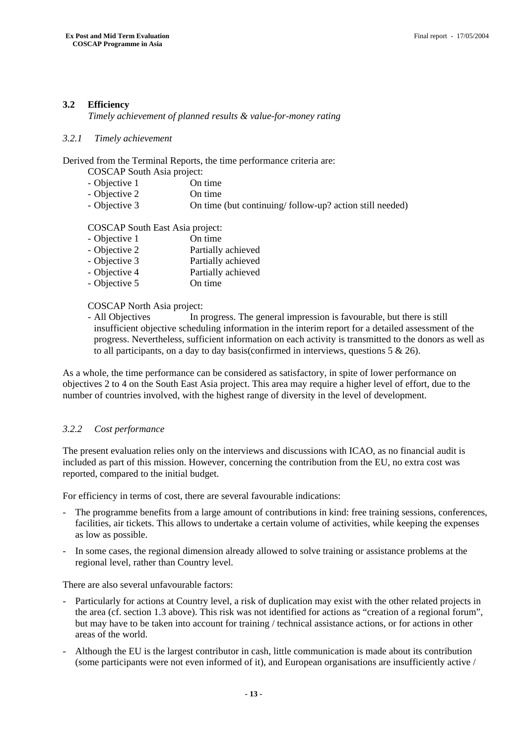#### **3.2 Efficiency**

*Timely achievement of planned results & value-for-money rating*

#### *3.2.1 Timely achievement*

Derived from the Terminal Reports, the time performance criteria are:

- COSCAP South Asia project:
- Objective 1 On time
- Objective 2 On time
- Objective 3 On time (but continuing/ follow-up? action still needed)

COSCAP South East Asia project:

| - Objective 1 | On time            |
|---------------|--------------------|
| - Objective 2 | Partially achieved |
| - Objective 3 | Partially achieved |
| - Objective 4 | Partially achieved |
| - Objective 5 | On time            |

#### COSCAP North Asia project:

- All Objectives In progress. The general impression is favourable, but there is still insufficient objective scheduling information in the interim report for a detailed assessment of the progress. Nevertheless, sufficient information on each activity is transmitted to the donors as well as to all participants, on a day to day basis (confirmed in interviews, questions  $5 \& 26$ ).

As a whole, the time performance can be considered as satisfactory, in spite of lower performance on objectives 2 to 4 on the South East Asia project. This area may require a higher level of effort, due to the number of countries involved, with the highest range of diversity in the level of development.

#### *3.2.2 Cost performance*

The present evaluation relies only on the interviews and discussions with ICAO, as no financial audit is included as part of this mission. However, concerning the contribution from the EU, no extra cost was reported, compared to the initial budget.

For efficiency in terms of cost, there are several favourable indications:

- The programme benefits from a large amount of contributions in kind: free training sessions, conferences, facilities, air tickets. This allows to undertake a certain volume of activities, while keeping the expenses as low as possible.
- In some cases, the regional dimension already allowed to solve training or assistance problems at the regional level, rather than Country level.

There are also several unfavourable factors:

- Particularly for actions at Country level, a risk of duplication may exist with the other related projects in the area (cf. section 1.3 above). This risk was not identified for actions as "creation of a regional forum", but may have to be taken into account for training / technical assistance actions, or for actions in other areas of the world.
- Although the EU is the largest contributor in cash, little communication is made about its contribution (some participants were not even informed of it), and European organisations are insufficiently active /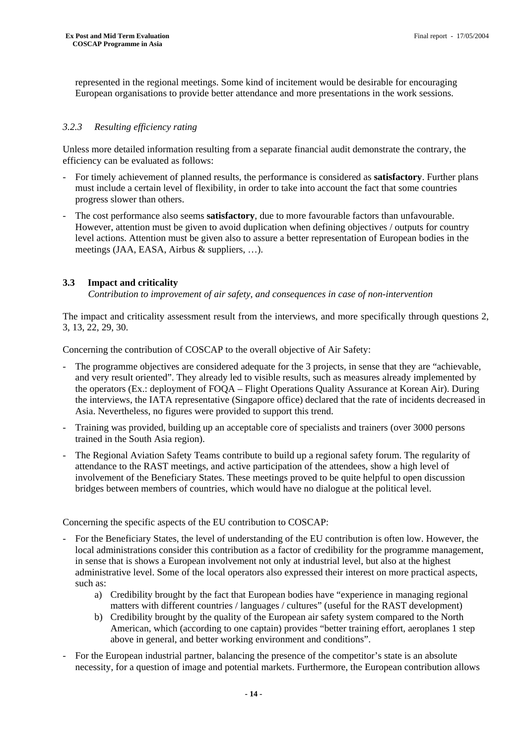represented in the regional meetings. Some kind of incitement would be desirable for encouraging European organisations to provide better attendance and more presentations in the work sessions.

#### *3.2.3 Resulting efficiency rating*

Unless more detailed information resulting from a separate financial audit demonstrate the contrary, the efficiency can be evaluated as follows:

- For timely achievement of planned results, the performance is considered as **satisfactory**. Further plans must include a certain level of flexibility, in order to take into account the fact that some countries progress slower than others.
- The cost performance also seems **satisfactory**, due to more favourable factors than unfavourable. However, attention must be given to avoid duplication when defining objectives / outputs for country level actions. Attention must be given also to assure a better representation of European bodies in the meetings (JAA, EASA, Airbus & suppliers, …).

#### **3.3 Impact and criticality**

*Contribution to improvement of air safety, and consequences in case of non-intervention*

The impact and criticality assessment result from the interviews, and more specifically through questions 2, 3, 13, 22, 29, 30.

Concerning the contribution of COSCAP to the overall objective of Air Safety:

- The programme objectives are considered adequate for the 3 projects, in sense that they are "achievable, and very result oriented". They already led to visible results, such as measures already implemented by the operators (Ex.: deployment of FOQA – Flight Operations Quality Assurance at Korean Air). During the interviews, the IATA representative (Singapore office) declared that the rate of incidents decreased in Asia. Nevertheless, no figures were provided to support this trend.
- Training was provided, building up an acceptable core of specialists and trainers (over 3000 persons trained in the South Asia region).
- The Regional Aviation Safety Teams contribute to build up a regional safety forum. The regularity of attendance to the RAST meetings, and active participation of the attendees, show a high level of involvement of the Beneficiary States. These meetings proved to be quite helpful to open discussion bridges between members of countries, which would have no dialogue at the political level.

Concerning the specific aspects of the EU contribution to COSCAP:

- For the Beneficiary States, the level of understanding of the EU contribution is often low. However, the local administrations consider this contribution as a factor of credibility for the programme management, in sense that is shows a European involvement not only at industrial level, but also at the highest administrative level. Some of the local operators also expressed their interest on more practical aspects, such as:
	- a) Credibility brought by the fact that European bodies have "experience in managing regional matters with different countries / languages / cultures" (useful for the RAST development)
	- b) Credibility brought by the quality of the European air safety system compared to the North American, which (according to one captain) provides "better training effort, aeroplanes 1 step above in general, and better working environment and conditions".
- For the European industrial partner, balancing the presence of the competitor's state is an absolute necessity, for a question of image and potential markets. Furthermore, the European contribution allows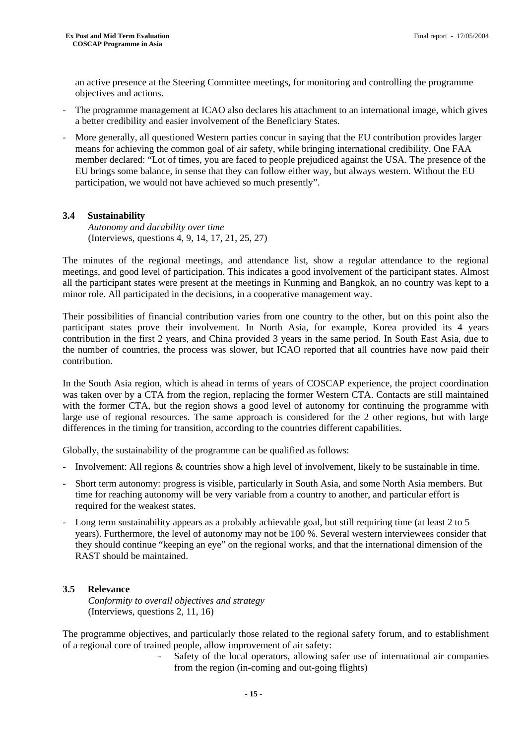an active presence at the Steering Committee meetings, for monitoring and controlling the programme objectives and actions.

- The programme management at ICAO also declares his attachment to an international image, which gives a better credibility and easier involvement of the Beneficiary States.
- More generally, all questioned Western parties concur in saying that the EU contribution provides larger means for achieving the common goal of air safety, while bringing international credibility. One FAA member declared: "Lot of times, you are faced to people prejudiced against the USA. The presence of the EU brings some balance, in sense that they can follow either way, but always western. Without the EU participation, we would not have achieved so much presently".

#### **3.4 Sustainability**

*Autonomy and durability over time*  (Interviews, questions 4, 9, 14, 17, 21, 25, 27)

The minutes of the regional meetings, and attendance list, show a regular attendance to the regional meetings, and good level of participation. This indicates a good involvement of the participant states. Almost all the participant states were present at the meetings in Kunming and Bangkok, an no country was kept to a minor role. All participated in the decisions, in a cooperative management way.

Their possibilities of financial contribution varies from one country to the other, but on this point also the participant states prove their involvement. In North Asia, for example, Korea provided its 4 years contribution in the first 2 years, and China provided 3 years in the same period. In South East Asia, due to the number of countries, the process was slower, but ICAO reported that all countries have now paid their contribution.

In the South Asia region, which is ahead in terms of years of COSCAP experience, the project coordination was taken over by a CTA from the region, replacing the former Western CTA. Contacts are still maintained with the former CTA, but the region shows a good level of autonomy for continuing the programme with large use of regional resources. The same approach is considered for the 2 other regions, but with large differences in the timing for transition, according to the countries different capabilities.

Globally, the sustainability of the programme can be qualified as follows:

- Involvement: All regions & countries show a high level of involvement, likely to be sustainable in time.
- Short term autonomy: progress is visible, particularly in South Asia, and some North Asia members. But time for reaching autonomy will be very variable from a country to another, and particular effort is required for the weakest states.
- Long term sustainability appears as a probably achievable goal, but still requiring time (at least 2 to 5 years). Furthermore, the level of autonomy may not be 100 %. Several western interviewees consider that they should continue "keeping an eye" on the regional works, and that the international dimension of the RAST should be maintained.

#### **3.5 Relevance**

*Conformity to overall objectives and strategy*  (Interviews, questions 2, 11, 16)

The programme objectives, and particularly those related to the regional safety forum, and to establishment of a regional core of trained people, allow improvement of air safety:

> Safety of the local operators, allowing safer use of international air companies from the region (in-coming and out-going flights)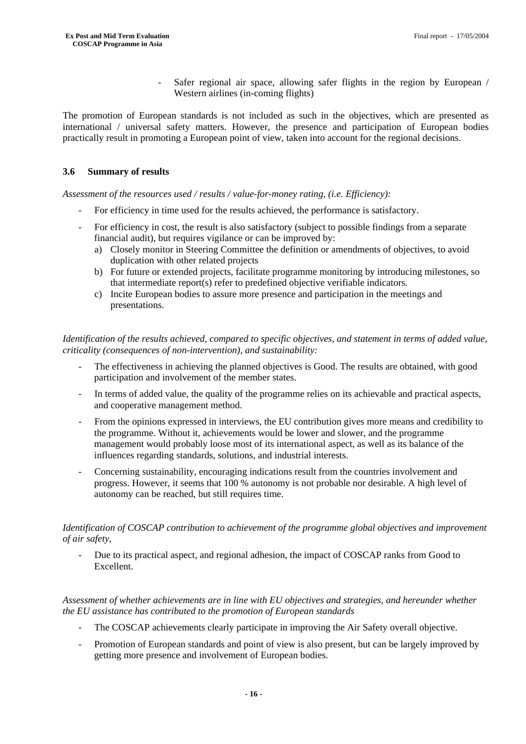Safer regional air space, allowing safer flights in the region by European / Western airlines (in-coming flights)

The promotion of European standards is not included as such in the objectives, which are presented as international / universal safety matters. However, the presence and participation of European bodies practically result in promoting a European point of view, taken into account for the regional decisions.

#### **3.6 Summary of results**

*Assessment of the resources used / results / value-for-money rating, (i.e. Efficiency):* 

- For efficiency in time used for the results achieved, the performance is satisfactory.
- For efficiency in cost, the result is also satisfactory (subject to possible findings from a separate financial audit), but requires vigilance or can be improved by:
	- a) Closely monitor in Steering Committee the definition or amendments of objectives, to avoid duplication with other related projects
	- b) For future or extended projects, facilitate programme monitoring by introducing milestones, so that intermediate report(s) refer to predefined objective verifiable indicators.
	- c) Incite European bodies to assure more presence and participation in the meetings and presentations.

*Identification of the results achieved, compared to specific objectives, and statement in terms of added value, criticality (consequences of non-intervention), and sustainability:* 

- The effectiveness in achieving the planned objectives is Good. The results are obtained, with good participation and involvement of the member states.
- In terms of added value, the quality of the programme relies on its achievable and practical aspects, and cooperative management method.
- From the opinions expressed in interviews, the EU contribution gives more means and credibility to the programme. Without it, achievements would be lower and slower, and the programme management would probably loose most of its international aspect, as well as its balance of the influences regarding standards, solutions, and industrial interests.
- Concerning sustainability, encouraging indications result from the countries involvement and progress. However, it seems that 100 % autonomy is not probable nor desirable. A high level of autonomy can be reached, but still requires time.

#### *Identification of COSCAP contribution to achievement of the programme global objectives and improvement of air safety,*

- Due to its practical aspect, and regional adhesion, the impact of COSCAP ranks from Good to Excellent.

#### *Assessment of whether achievements are in line with EU objectives and strategies, and hereunder whether the EU assistance has contributed to the promotion of European standards*

- The COSCAP achievements clearly participate in improving the Air Safety overall objective.
- Promotion of European standards and point of view is also present, but can be largely improved by getting more presence and involvement of European bodies.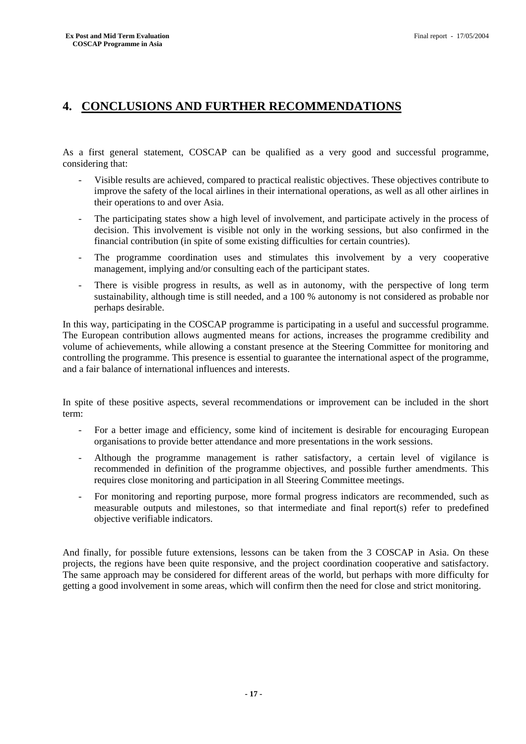## **4. CONCLUSIONS AND FURTHER RECOMMENDATIONS**

As a first general statement, COSCAP can be qualified as a very good and successful programme, considering that:

- Visible results are achieved, compared to practical realistic objectives. These objectives contribute to improve the safety of the local airlines in their international operations, as well as all other airlines in their operations to and over Asia.
- The participating states show a high level of involvement, and participate actively in the process of decision. This involvement is visible not only in the working sessions, but also confirmed in the financial contribution (in spite of some existing difficulties for certain countries).
- The programme coordination uses and stimulates this involvement by a very cooperative management, implying and/or consulting each of the participant states.
- There is visible progress in results, as well as in autonomy, with the perspective of long term sustainability, although time is still needed, and a 100 % autonomy is not considered as probable nor perhaps desirable.

In this way, participating in the COSCAP programme is participating in a useful and successful programme. The European contribution allows augmented means for actions, increases the programme credibility and volume of achievements, while allowing a constant presence at the Steering Committee for monitoring and controlling the programme. This presence is essential to guarantee the international aspect of the programme, and a fair balance of international influences and interests.

In spite of these positive aspects, several recommendations or improvement can be included in the short term:

- For a better image and efficiency, some kind of incitement is desirable for encouraging European organisations to provide better attendance and more presentations in the work sessions.
- Although the programme management is rather satisfactory, a certain level of vigilance is recommended in definition of the programme objectives, and possible further amendments. This requires close monitoring and participation in all Steering Committee meetings.
- For monitoring and reporting purpose, more formal progress indicators are recommended, such as measurable outputs and milestones, so that intermediate and final report(s) refer to predefined objective verifiable indicators.

And finally, for possible future extensions, lessons can be taken from the 3 COSCAP in Asia. On these projects, the regions have been quite responsive, and the project coordination cooperative and satisfactory. The same approach may be considered for different areas of the world, but perhaps with more difficulty for getting a good involvement in some areas, which will confirm then the need for close and strict monitoring.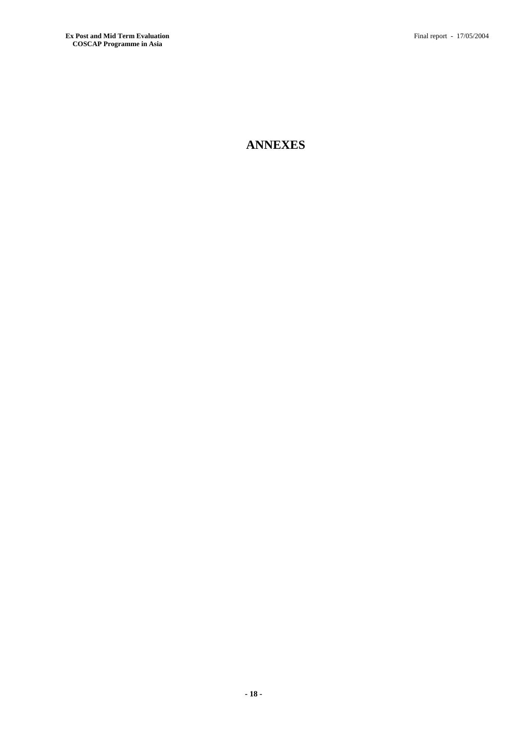# **ANNEXES**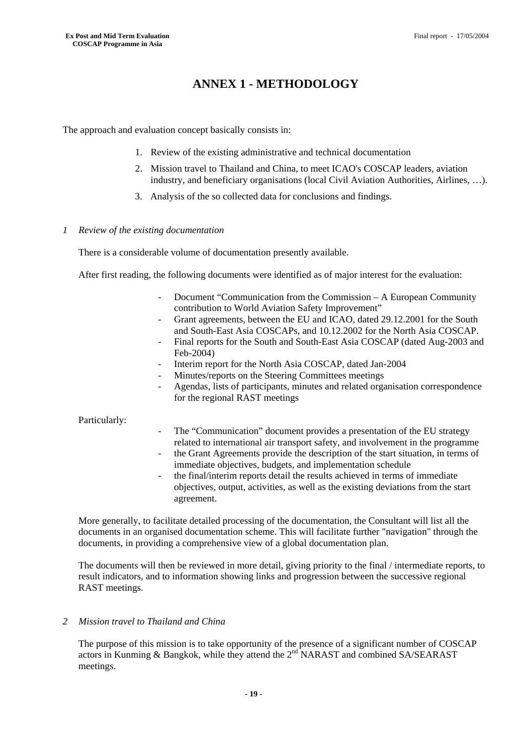## **ANNEX 1 - METHODOLOGY**

The approach and evaluation concept basically consists in:

- 1. Review of the existing administrative and technical documentation
- 2. Mission travel to Thailand and China, to meet ICAO's COSCAP leaders, aviation industry, and beneficiary organisations (local Civil Aviation Authorities, Airlines, …).
- 3. Analysis of the so collected data for conclusions and findings.

#### *1 Review of the existing documentation*

There is a considerable volume of documentation presently available.

After first reading, the following documents were identified as of major interest for the evaluation:

- Document "Communication from the Commission A European Community contribution to World Aviation Safety Improvement"
- Grant agreements, between the EU and ICAO, dated 29.12.2001 for the South and South-East Asia COSCAPs, and 10.12.2002 for the North Asia COSCAP.
- Final reports for the South and South-East Asia COSCAP (dated Aug-2003 and Feb-2004)
- Interim report for the North Asia COSCAP, dated Jan-2004
- Minutes/reports on the Steering Committees meetings
- Agendas, lists of participants, minutes and related organisation correspondence for the regional RAST meetings

#### Particularly:

- The "Communication" document provides a presentation of the EU strategy related to international air transport safety, and involvement in the programme
- the Grant Agreements provide the description of the start situation, in terms of immediate objectives, budgets, and implementation schedule
- the final/interim reports detail the results achieved in terms of immediate objectives, output, activities, as well as the existing deviations from the start agreement.

More generally, to facilitate detailed processing of the documentation, the Consultant will list all the documents in an organised documentation scheme. This will facilitate further "navigation" through the documents, in providing a comprehensive view of a global documentation plan.

The documents will then be reviewed in more detail, giving priority to the final / intermediate reports, to result indicators, and to information showing links and progression between the successive regional RAST meetings.

#### *2 Mission travel to Thailand and China*

The purpose of this mission is to take opportunity of the presence of a significant number of COSCAP actors in Kunming & Bangkok, while they attend the 2<sup>nd</sup> NARAST and combined SA/SEARAST meetings.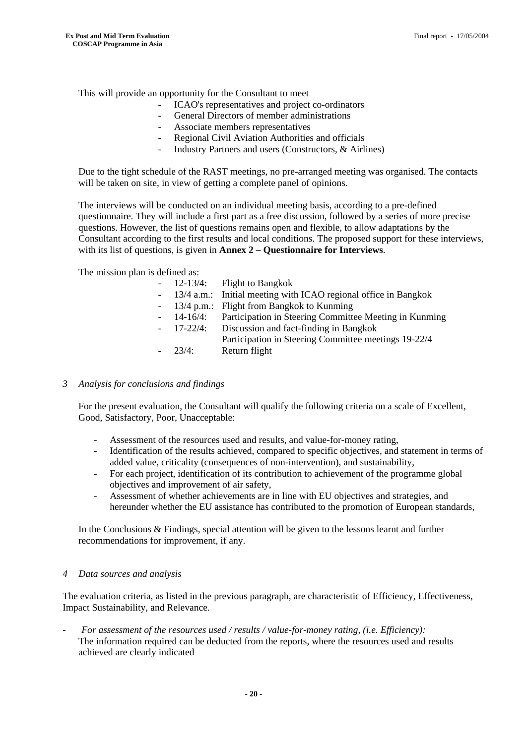This will provide an opportunity for the Consultant to meet

- ICAO's representatives and project co-ordinators
- General Directors of member administrations
- Associate members representatives
- Regional Civil Aviation Authorities and officials
- Industry Partners and users (Constructors, & Airlines)

Due to the tight schedule of the RAST meetings, no pre-arranged meeting was organised. The contacts will be taken on site, in view of getting a complete panel of opinions.

The interviews will be conducted on an individual meeting basis, according to a pre-defined questionnaire. They will include a first part as a free discussion, followed by a series of more precise questions. However, the list of questions remains open and flexible, to allow adaptations by the Consultant according to the first results and local conditions. The proposed support for these interviews, with its list of questions, is given in **Annex 2 – Questionnaire for Interviews**.

The mission plan is defined as:

|              | $-$ 12-13/4: Flight to Bangkok                                    |
|--------------|-------------------------------------------------------------------|
|              | - 13/4 a.m.: Initial meeting with ICAO regional office in Bangkok |
|              | - 13/4 p.m.: Flight from Bangkok to Kunming                       |
|              | - 14-16/4: Participation in Steering Committee Meeting in Kunming |
| $-17-22/4$ : | Discussion and fact-finding in Bangkok                            |
|              | Participation in Steering Committee meetings 19-22/4              |
| $-23/4$      | Return flight                                                     |
|              |                                                                   |

#### *3 Analysis for conclusions and findings*

For the present evaluation, the Consultant will qualify the following criteria on a scale of Excellent, Good, Satisfactory, Poor, Unacceptable:

- Assessment of the resources used and results, and value-for-money rating,
- Identification of the results achieved, compared to specific objectives, and statement in terms of added value, criticality (consequences of non-intervention), and sustainability,
- For each project, identification of its contribution to achievement of the programme global objectives and improvement of air safety,
- Assessment of whether achievements are in line with EU objectives and strategies, and hereunder whether the EU assistance has contributed to the promotion of European standards,

In the Conclusions & Findings, special attention will be given to the lessons learnt and further recommendations for improvement, if any.

#### *4 Data sources and analysis*

The evaluation criteria, as listed in the previous paragraph, are characteristic of Efficiency, Effectiveness, Impact Sustainability, and Relevance.

- *For assessment of the resources used / results / value-for-money rating, (i.e. Efficiency):*  The information required can be deducted from the reports, where the resources used and results achieved are clearly indicated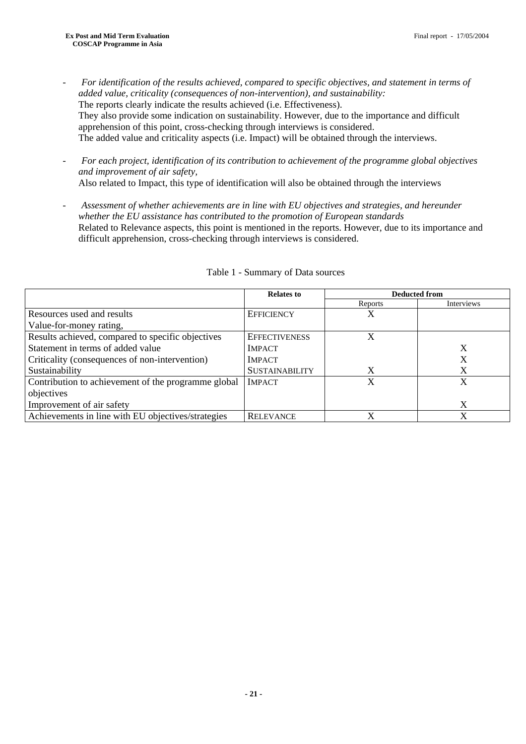- *For identification of the results achieved, compared to specific objectives, and statement in terms of added value, criticality (consequences of non-intervention), and sustainability:*  The reports clearly indicate the results achieved (i.e. Effectiveness). They also provide some indication on sustainability. However, due to the importance and difficult apprehension of this point, cross-checking through interviews is considered. The added value and criticality aspects (i.e. Impact) will be obtained through the interviews.
- *For each project, identification of its contribution to achievement of the programme global objectives and improvement of air safety,*  Also related to Impact, this type of identification will also be obtained through the interviews
- *Assessment of whether achievements are in line with EU objectives and strategies, and hereunder whether the EU assistance has contributed to the promotion of European standards*  Related to Relevance aspects, this point is mentioned in the reports. However, due to its importance and difficult apprehension, cross-checking through interviews is considered.

|                                                     | <b>Relates to</b>     | <b>Deducted from</b> |            |  |
|-----------------------------------------------------|-----------------------|----------------------|------------|--|
|                                                     |                       | Reports              | Interviews |  |
| Resources used and results                          | <b>EFFICIENCY</b>     | Х                    |            |  |
| Value-for-money rating,                             |                       |                      |            |  |
| Results achieved, compared to specific objectives   | <b>EFFECTIVENESS</b>  | X                    |            |  |
| Statement in terms of added value                   | <b>IMPACT</b>         |                      | X          |  |
| Criticality (consequences of non-intervention)      | <b>IMPACT</b>         |                      | Х          |  |
| Sustainability                                      | <b>SUSTAINABILITY</b> | X                    | X          |  |
| Contribution to achievement of the programme global | <b>IMPACT</b>         | X                    | X          |  |
| objectives                                          |                       |                      |            |  |
| Improvement of air safety                           |                       |                      | X          |  |
| Achievements in line with EU objectives/strategies  | <b>RELEVANCE</b>      | X                    | X          |  |

#### Table 1 - Summary of Data sources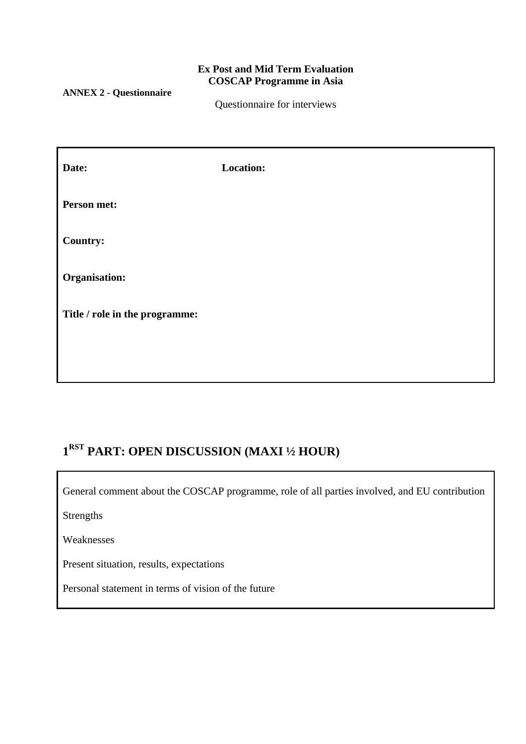### **Ex Post and Mid Term Evaluation COSCAP Programme in Asia**

**ANNEX 2 - Questionnaire** 

Questionnaire for interviews

| Date:                          | <b>Location:</b> |
|--------------------------------|------------------|
| Person met:                    |                  |
| <b>Country:</b>                |                  |
| Organisation:                  |                  |
| Title / role in the programme: |                  |
|                                |                  |

# **1RST PART: OPEN DISCUSSION (MAXI ½ HOUR)**

General comment about the COSCAP programme, role of all parties involved, and EU contribution

Strengths

Weaknesses

Present situation, results, expectations

Personal statement in terms of vision of the future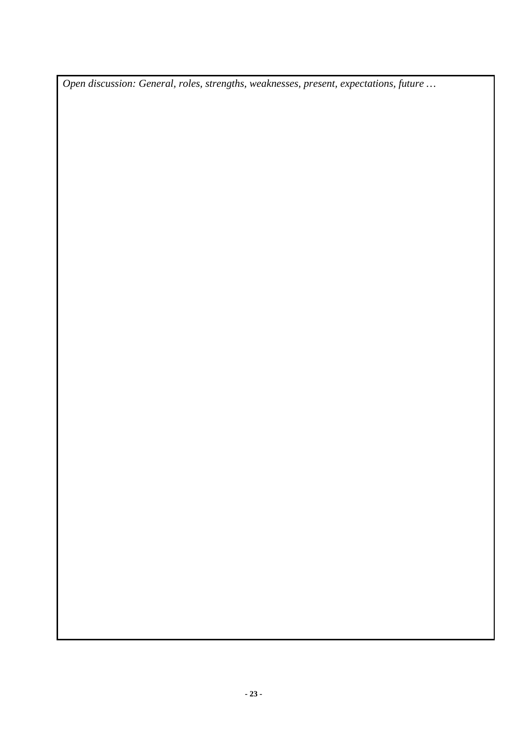*Open discussion: General, roles, strengths, weaknesses, present, expectations, future …*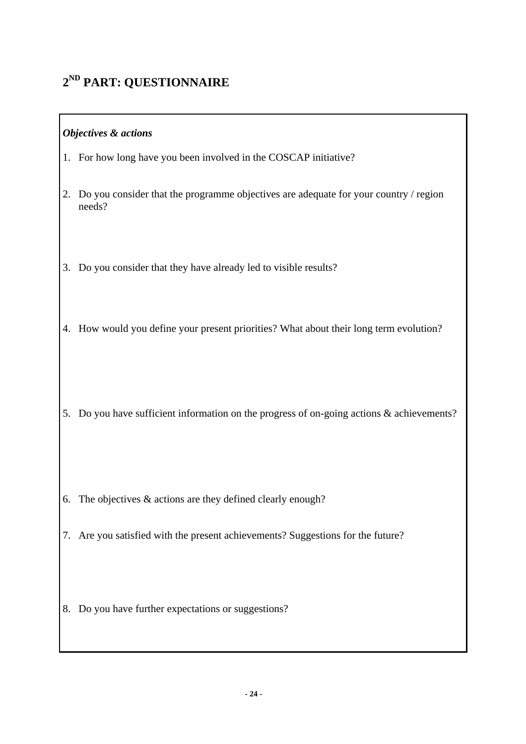# **2ND PART: QUESTIONNAIRE**

### *Objectives & actions*

- 1. For how long have you been involved in the COSCAP initiative?
- 2. Do you consider that the programme objectives are adequate for your country / region needs?
- 3. Do you consider that they have already led to visible results?
- 4. How would you define your present priorities? What about their long term evolution?
- 5. Do you have sufficient information on the progress of on-going actions & achievements?
- 6. The objectives  $&$  actions are they defined clearly enough?
- 7. Are you satisfied with the present achievements? Suggestions for the future?
- 8. Do you have further expectations or suggestions?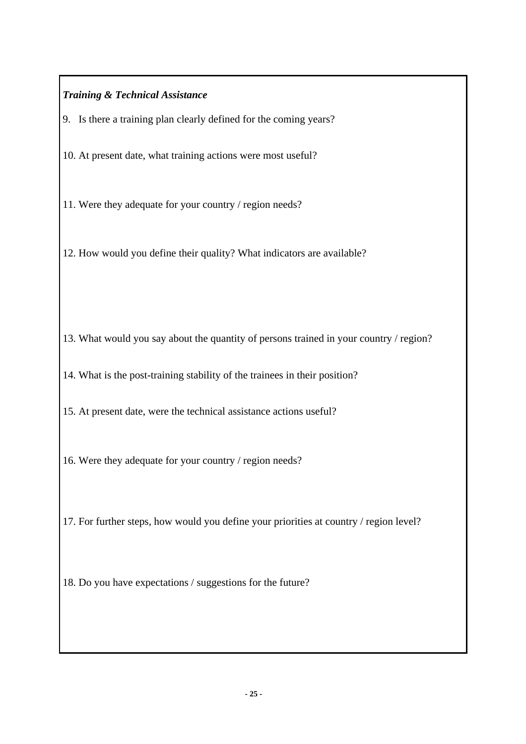### *Training & Technical Assistance*

- 9. Is there a training plan clearly defined for the coming years?
- 10. At present date, what training actions were most useful?
- 11. Were they adequate for your country / region needs?
- 12. How would you define their quality? What indicators are available?
- 13. What would you say about the quantity of persons trained in your country / region?
- 14. What is the post-training stability of the trainees in their position?
- 15. At present date, were the technical assistance actions useful?
- 16. Were they adequate for your country / region needs?
- 17. For further steps, how would you define your priorities at country / region level?
- 18. Do you have expectations / suggestions for the future?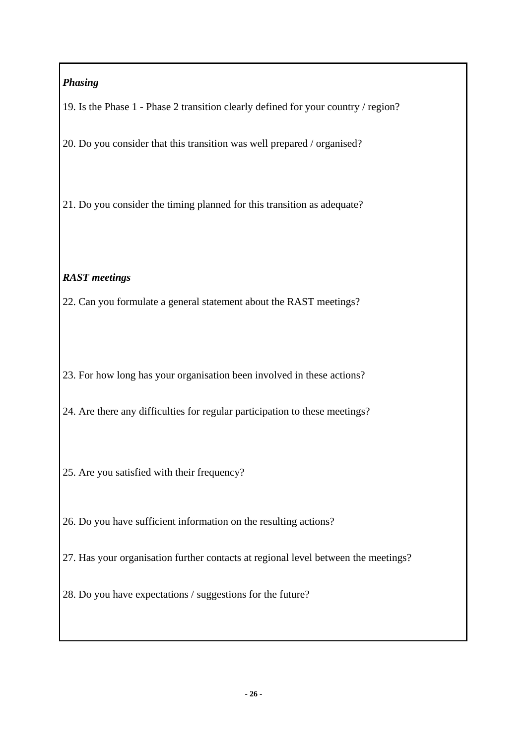## *Phasing*

19. Is the Phase 1 - Phase 2 transition clearly defined for your country / region?

20. Do you consider that this transition was well prepared / organised?

21. Do you consider the timing planned for this transition as adequate?

### *RAST meetings*

22. Can you formulate a general statement about the RAST meetings?

23. For how long has your organisation been involved in these actions?

24. Are there any difficulties for regular participation to these meetings?

- 25. Are you satisfied with their frequency?
- 26. Do you have sufficient information on the resulting actions?
- 27. Has your organisation further contacts at regional level between the meetings?
- 28. Do you have expectations / suggestions for the future?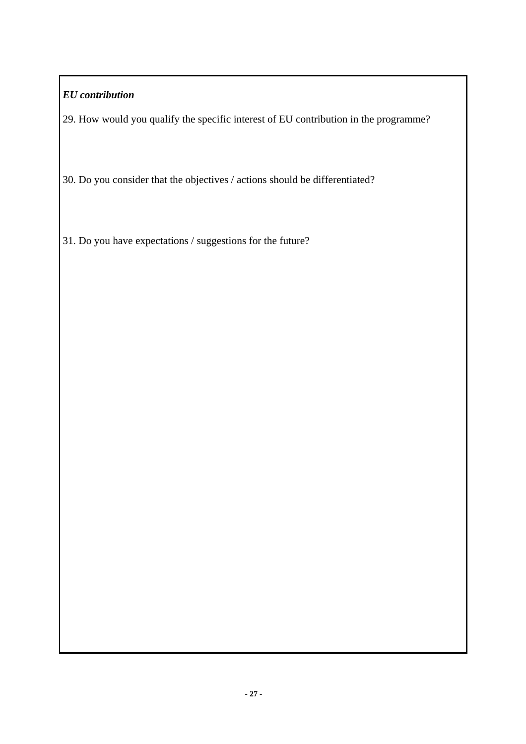## *EU contribution*

29. How would you qualify the specific interest of EU contribution in the programme?

30. Do you consider that the objectives / actions should be differentiated?

31. Do you have expectations / suggestions for the future?